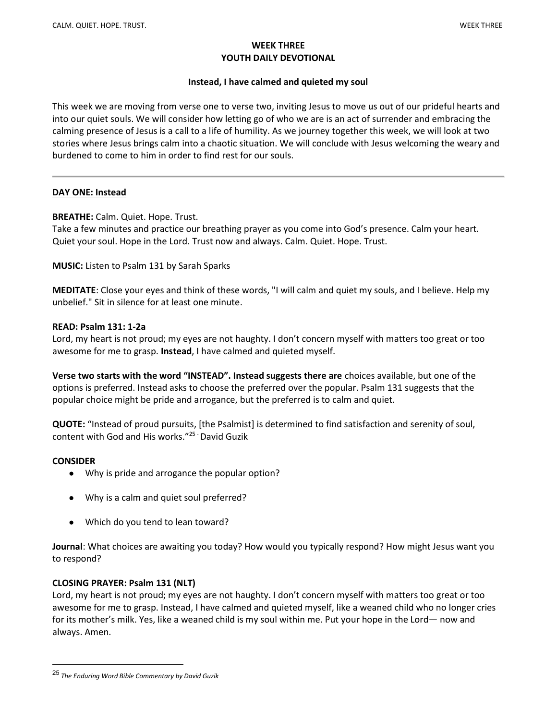### WEEK THREE YOUTH DAILY DEVOTIONAL

# Instead, I have calmed and quieted my soul

This week we are moving from verse one to verse two, inviting Jesus to move us out of our prideful hearts and into our quiet souls. We will consider how letting go of who we are is an act of surrender and embracing the calming presence of Jesus is a call to a life of humility. As we journey together this week, we will look at two stories where Jesus brings calm into a chaotic situation. We will conclude with Jesus welcoming the weary and burdened to come to him in order to find rest for our souls.

# DAY ONE: Instead

# BREATHE: Calm. Quiet. Hope. Trust.

Take a few minutes and practice our breathing prayer as you come into God's presence. Calm your heart. Quiet your soul. Hope in the Lord. Trust now and always. Calm. Quiet. Hope. Trust.

MUSIC: Listen to Psalm 131 by Sarah Sparks

MEDITATE: Close your eyes and think of these words, "I will calm and quiet my souls, and I believe. Help my unbelief." Sit in silence for at least one minute.

## READ: Psalm 131: 1-2a

Lord, my heart is not proud; my eyes are not haughty. I don't concern myself with matters too great or too awesome for me to grasp. Instead, I have calmed and quieted myself.

Verse two starts with the word "INSTEAD". Instead suggests there are choices available, but one of the options is preferred. Instead asks to choose the preferred over the popular. Psalm 131 suggests that the popular choice might be pride and arrogance, but the preferred is to calm and quiet.

QUOTE: "Instead of proud pursuits, [the Psalmist] is determined to find satisfaction and serenity of soul, content with God and His works."25 - David Guzik

## **CONSIDER**

- Why is pride and arrogance the popular option?
- Why is a calm and quiet soul preferred?
- Which do you tend to lean toward?

Journal: What choices are awaiting you today? How would you typically respond? How might Jesus want you to respond?

## CLOSING PRAYER: Psalm 131 (NLT)

Lord, my heart is not proud; my eyes are not haughty. I don't concern myself with matters too great or too awesome for me to grasp. Instead, I have calmed and quieted myself, like a weaned child who no longer cries for its mother's milk. Yes, like a weaned child is my soul within me. Put your hope in the Lord— now and always. Amen.

<sup>25</sup> The Enduring Word Bible Commentary by David Guzik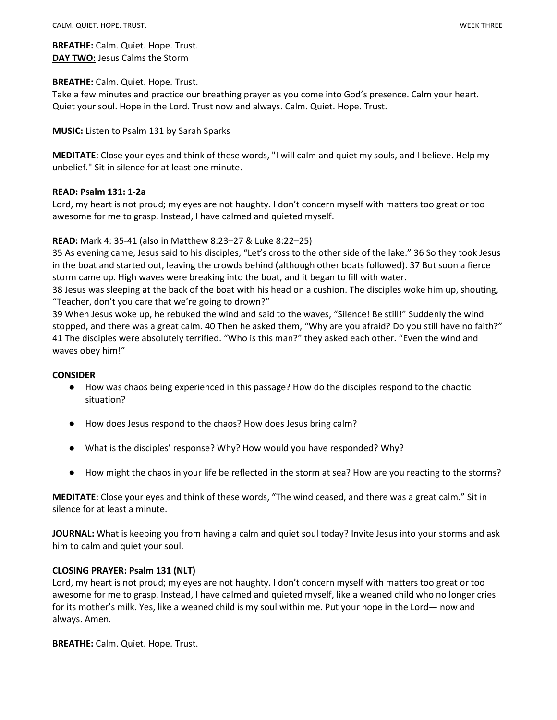BREATHE: Calm. Quiet. Hope. Trust. DAY TWO: Jesus Calms the Storm

### BREATHE: Calm. Quiet. Hope. Trust.

Take a few minutes and practice our breathing prayer as you come into God's presence. Calm your heart. Quiet your soul. Hope in the Lord. Trust now and always. Calm. Quiet. Hope. Trust.

### MUSIC: Listen to Psalm 131 by Sarah Sparks

MEDITATE: Close your eyes and think of these words, "I will calm and quiet my souls, and I believe. Help my unbelief." Sit in silence for at least one minute.

### READ: Psalm 131: 1-2a

Lord, my heart is not proud; my eyes are not haughty. I don't concern myself with matters too great or too awesome for me to grasp. Instead, I have calmed and quieted myself.

## READ: Mark 4: 35-41 (also in Matthew 8:23–27 & Luke 8:22–25)

35 As evening came, Jesus said to his disciples, "Let's cross to the other side of the lake." 36 So they took Jesus in the boat and started out, leaving the crowds behind (although other boats followed). 37 But soon a fierce storm came up. High waves were breaking into the boat, and it began to fill with water.

38 Jesus was sleeping at the back of the boat with his head on a cushion. The disciples woke him up, shouting, "Teacher, don't you care that we're going to drown?"

39 When Jesus woke up, he rebuked the wind and said to the waves, "Silence! Be still!" Suddenly the wind stopped, and there was a great calm. 40 Then he asked them, "Why are you afraid? Do you still have no faith?" 41 The disciples were absolutely terrified. "Who is this man?" they asked each other. "Even the wind and waves obey him!"

#### **CONSIDER**

- How was chaos being experienced in this passage? How do the disciples respond to the chaotic situation?
- How does Jesus respond to the chaos? How does Jesus bring calm?
- What is the disciples' response? Why? How would you have responded? Why?
- How might the chaos in your life be reflected in the storm at sea? How are you reacting to the storms?

MEDITATE: Close your eyes and think of these words, "The wind ceased, and there was a great calm." Sit in silence for at least a minute.

JOURNAL: What is keeping you from having a calm and quiet soul today? Invite Jesus into your storms and ask him to calm and quiet your soul.

## CLOSING PRAYER: Psalm 131 (NLT)

Lord, my heart is not proud; my eyes are not haughty. I don't concern myself with matters too great or too awesome for me to grasp. Instead, I have calmed and quieted myself, like a weaned child who no longer cries for its mother's milk. Yes, like a weaned child is my soul within me. Put your hope in the Lord— now and always. Amen.

BREATHE: Calm. Quiet. Hope. Trust.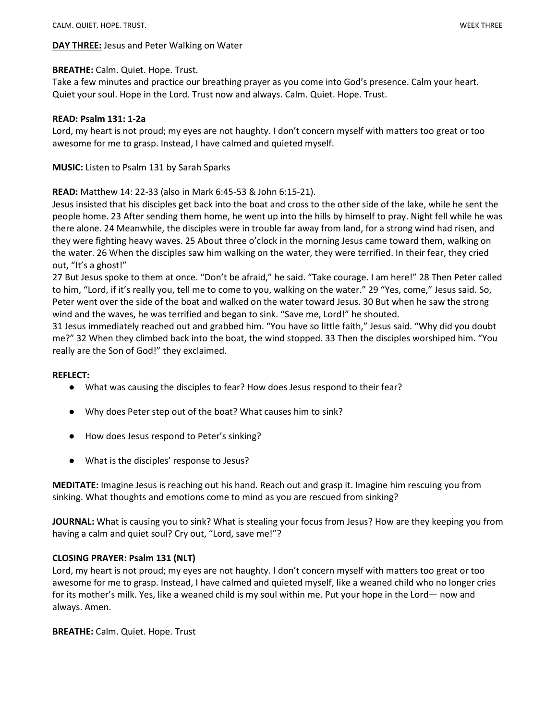## **DAY THREE:** Jesus and Peter Walking on Water

### BREATHE: Calm. Quiet. Hope. Trust.

Take a few minutes and practice our breathing prayer as you come into God's presence. Calm your heart. Quiet your soul. Hope in the Lord. Trust now and always. Calm. Quiet. Hope. Trust.

### READ: Psalm 131: 1-2a

Lord, my heart is not proud; my eyes are not haughty. I don't concern myself with matters too great or too awesome for me to grasp. Instead, I have calmed and quieted myself.

MUSIC: Listen to Psalm 131 by Sarah Sparks

### READ: Matthew 14: 22-33 (also in Mark 6:45-53 & John 6:15-21).

Jesus insisted that his disciples get back into the boat and cross to the other side of the lake, while he sent the people home. 23 After sending them home, he went up into the hills by himself to pray. Night fell while he was there alone. 24 Meanwhile, the disciples were in trouble far away from land, for a strong wind had risen, and they were fighting heavy waves. 25 About three o'clock in the morning Jesus came toward them, walking on the water. 26 When the disciples saw him walking on the water, they were terrified. In their fear, they cried out, "It's a ghost!"

27 But Jesus spoke to them at once. "Don't be afraid," he said. "Take courage. I am here!" 28 Then Peter called to him, "Lord, if it's really you, tell me to come to you, walking on the water." 29 "Yes, come," Jesus said. So, Peter went over the side of the boat and walked on the water toward Jesus. 30 But when he saw the strong wind and the waves, he was terrified and began to sink. "Save me, Lord!" he shouted.

31 Jesus immediately reached out and grabbed him. "You have so little faith," Jesus said. "Why did you doubt me?" 32 When they climbed back into the boat, the wind stopped. 33 Then the disciples worshiped him. "You really are the Son of God!" they exclaimed.

#### REFLECT:

- What was causing the disciples to fear? How does Jesus respond to their fear?
- Why does Peter step out of the boat? What causes him to sink?
- How does Jesus respond to Peter's sinking?
- What is the disciples' response to Jesus?

MEDITATE: Imagine Jesus is reaching out his hand. Reach out and grasp it. Imagine him rescuing you from sinking. What thoughts and emotions come to mind as you are rescued from sinking?

JOURNAL: What is causing you to sink? What is stealing your focus from Jesus? How are they keeping you from having a calm and quiet soul? Cry out, "Lord, save me!"?

## CLOSING PRAYER: Psalm 131 (NLT)

Lord, my heart is not proud; my eyes are not haughty. I don't concern myself with matters too great or too awesome for me to grasp. Instead, I have calmed and quieted myself, like a weaned child who no longer cries for its mother's milk. Yes, like a weaned child is my soul within me. Put your hope in the Lord— now and always. Amen.

BREATHE: Calm. Quiet. Hope. Trust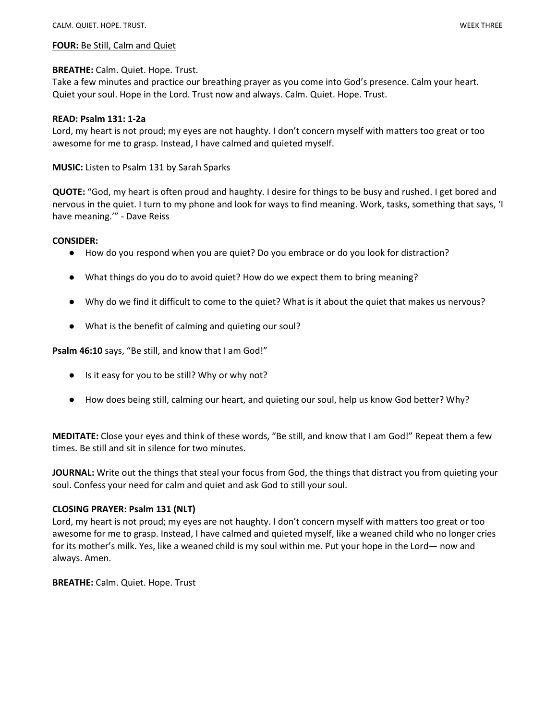#### FOUR: Be Still, Calm and Quiet

### BREATHE: Calm. Quiet. Hope. Trust.

Take a few minutes and practice our breathing prayer as you come into God's presence. Calm your heart. Quiet your soul. Hope in the Lord. Trust now and always. Calm. Quiet. Hope. Trust.

### READ: Psalm 131: 1-2a

Lord, my heart is not proud; my eyes are not haughty. I don't concern myself with matters too great or too awesome for me to grasp. Instead, I have calmed and quieted myself.

MUSIC: Listen to Psalm 131 by Sarah Sparks

QUOTE: "God, my heart is often proud and haughty. I desire for things to be busy and rushed. I get bored and nervous in the quiet. I turn to my phone and look for ways to find meaning. Work, tasks, something that says, 'I have meaning.'" - Dave Reiss

### CONSIDER:

- How do you respond when you are quiet? Do you embrace or do you look for distraction?
- What things do you do to avoid quiet? How do we expect them to bring meaning?
- Why do we find it difficult to come to the quiet? What is it about the quiet that makes us nervous?
- What is the benefit of calming and quieting our soul?

Psalm 46:10 says, "Be still, and know that I am God!"

- Is it easy for you to be still? Why or why not?
- How does being still, calming our heart, and quieting our soul, help us know God better? Why?

MEDITATE: Close your eyes and think of these words, "Be still, and know that I am God!" Repeat them a few times. Be still and sit in silence for two minutes.

JOURNAL: Write out the things that steal your focus from God, the things that distract you from quieting your soul. Confess your need for calm and quiet and ask God to still your soul.

## CLOSING PRAYER: Psalm 131 (NLT)

Lord, my heart is not proud; my eyes are not haughty. I don't concern myself with matters too great or too awesome for me to grasp. Instead, I have calmed and quieted myself, like a weaned child who no longer cries for its mother's milk. Yes, like a weaned child is my soul within me. Put your hope in the Lord— now and always. Amen.

BREATHE: Calm. Quiet. Hope. Trust